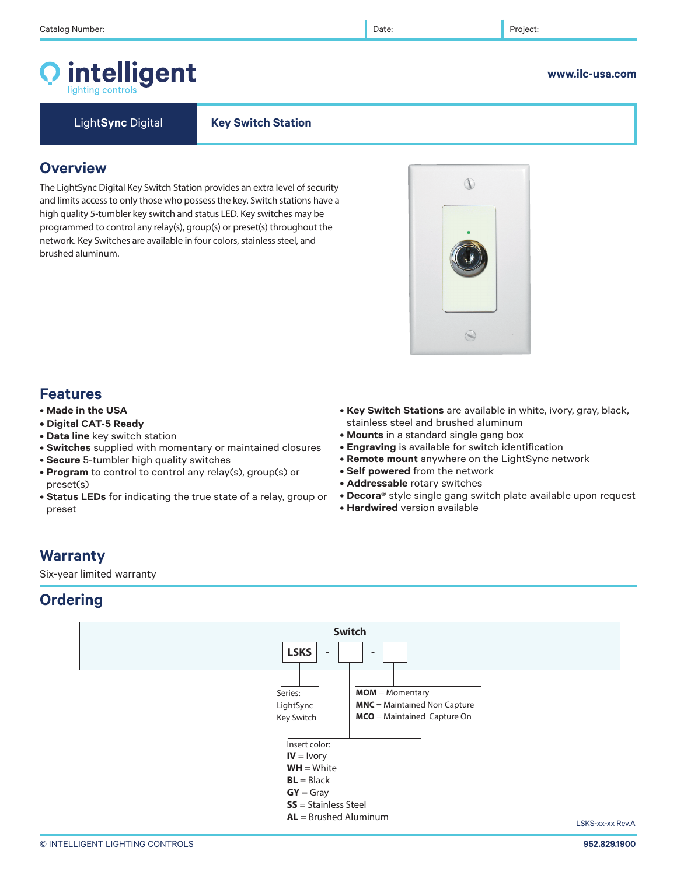# intelligent



Light**Sync** Digital **Key Switch Station** 

## **Overview**

The LightSync Digital Key Switch Station provides an extra level of security and limits access to only those who possess the key. Switch stations have a high quality 5-tumbler key switch and status LED. Key switches may be programmed to control any relay(s), group(s) or preset(s) throughout the network. Key Switches are available in four colors, stainless steel, and brushed aluminum.

## **Features**

- **Made in the USA**
- **Digital CAT-5 Ready**
- **Data line** key switch station
- **Switches** supplied with momentary or maintained closures
- **Secure** 5-tumbler high quality switches
- **Program** to control to control any relay(s), group(s) or preset(s)
- **Status LEDs** for indicating the true state of a relay, group or preset
- **Key Switch Stations** are available in white, ivory, gray, black, stainless steel and brushed aluminum
- **Mounts** in a standard single gang box
- **Engraving** is available for switch identification
- **Remote mount** anywhere on the LightSync network
- **Self powered** from the network
- **Addressable** rotary switches
- **Decora®** style single gang switch plate available upon request
- **Hardwired** version available

## **Warranty**

Six-year limited warranty

## **Ordering**





## **www.ilc-usa.com**